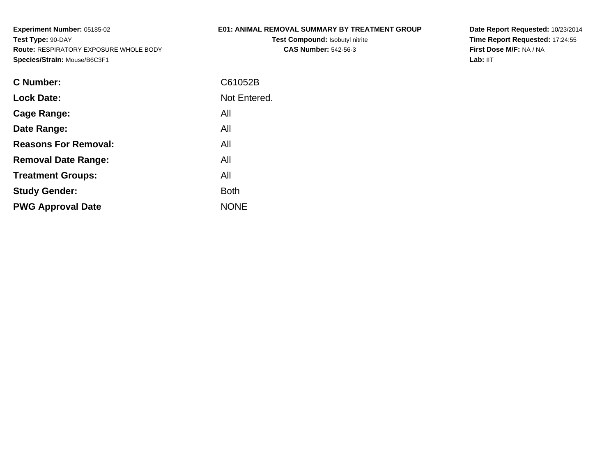# **E01: ANIMAL REMOVAL SUMMARY BY TREATMENT GROUP**

**Test Compound:** Isobutyl nitrite**CAS Number:** 542-56-3

| C Number:                   | C61052B      |
|-----------------------------|--------------|
| <b>Lock Date:</b>           | Not Entered. |
| Cage Range:                 | All          |
| Date Range:                 | All          |
| <b>Reasons For Removal:</b> | All          |
| <b>Removal Date Range:</b>  | All          |
| <b>Treatment Groups:</b>    | All          |
| <b>Study Gender:</b>        | <b>Both</b>  |
| <b>PWG Approval Date</b>    | <b>NONE</b>  |
|                             |              |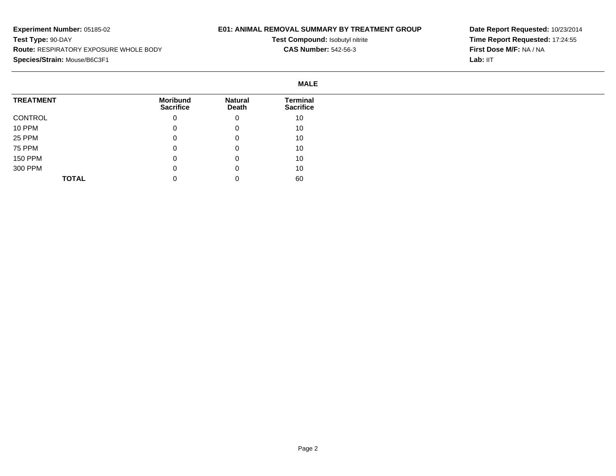## **E01: ANIMAL REMOVAL SUMMARY BY TREATMENT GROUP**

**Test Compound:** Isobutyl nitrite**CAS Number:** 542-56-3

|                  | <b>MALE</b>                         |                         |                                     |
|------------------|-------------------------------------|-------------------------|-------------------------------------|
| <b>TREATMENT</b> | <b>Moribund</b><br><b>Sacrifice</b> | <b>Natural</b><br>Death | <b>Terminal</b><br><b>Sacrifice</b> |
| CONTROL          | 0                                   | 0                       | 10                                  |
| 10 PPM           | 0                                   | 0                       | 10                                  |
| 25 PPM           | 0                                   | 0                       | 10                                  |
| 75 PPM           | 0                                   | 0                       | 10                                  |
| <b>150 PPM</b>   | 0                                   | 0                       | 10                                  |
| 300 PPM          | 0                                   | 0                       | 10                                  |
| <b>TOTAL</b>     | 0                                   |                         | 60                                  |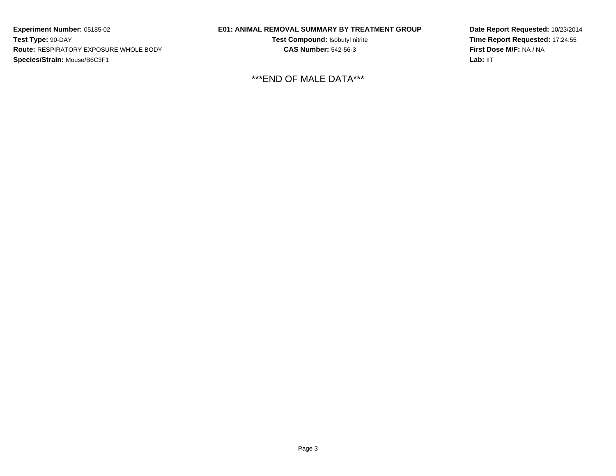## **E01: ANIMAL REMOVAL SUMMARY BY TREATMENT GROUP**

**Test Compound:** Isobutyl nitrite**CAS Number:** 542-56-3

\*\*\*END OF MALE DATA\*\*\*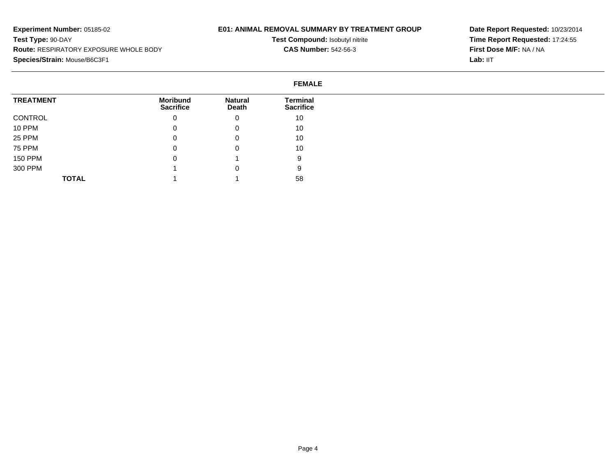## **E01: ANIMAL REMOVAL SUMMARY BY TREATMENT GROUP**

**Test Compound:** Isobutyl nitrite**CAS Number:** 542-56-3

|                  | <b>FEMALE</b>                       |                         |                              |
|------------------|-------------------------------------|-------------------------|------------------------------|
| <b>TREATMENT</b> | <b>Moribund</b><br><b>Sacrifice</b> | <b>Natural</b><br>Death | Terminal<br><b>Sacrifice</b> |
| CONTROL          | 0                                   | 0                       | 10                           |
| 10 PPM           | 0                                   | 0                       | 10                           |
| 25 PPM           | 0                                   | 0                       | 10                           |
| 75 PPM           | 0                                   | 0                       | 10                           |
| 150 PPM          | 0                                   |                         | 9                            |
| 300 PPM          |                                     | 0                       | 9                            |
| <b>TOTAL</b>     |                                     |                         | 58                           |